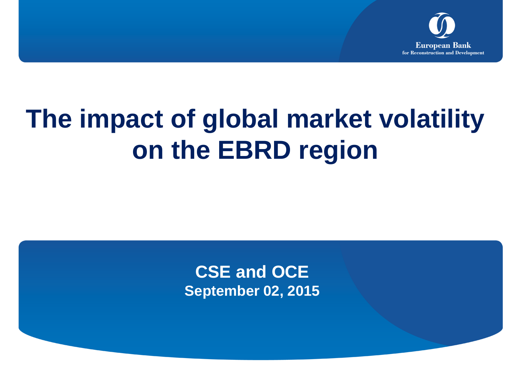

# **The impact of global market volatility on the EBRD region**

**CSE and OCE September 02, 2015**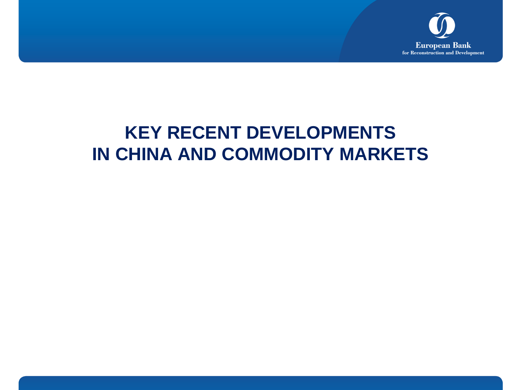

# **KEY RECENT DEVELOPMENTS IN CHINA AND COMMODITY MARKETS**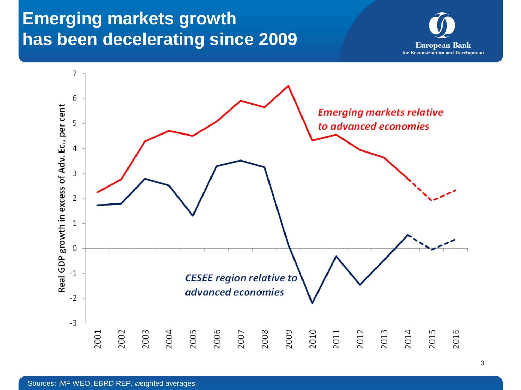## **Emerging markets growth has been decelerating since 2009**



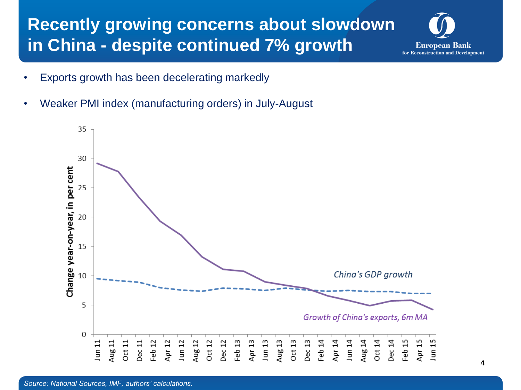### **Recently growing concerns about slowdown in China - despite continued 7% growth**



- Exports growth has been decelerating markedly
- Weaker PMI index (manufacturing orders) in July-August

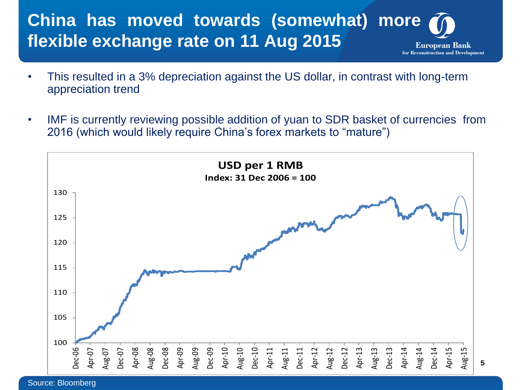#### **China has moved towards (somewhat) more flexible exchange rate on 11 Aug 2015 European Bank** for Reconstruction and Development

- This resulted in a 3% depreciation against the US dollar, in contrast with long-term appreciation trend
- IMF is currently reviewing possible addition of yuan to SDR basket of currencies from 2016 (which would likely require China's forex markets to "mature")

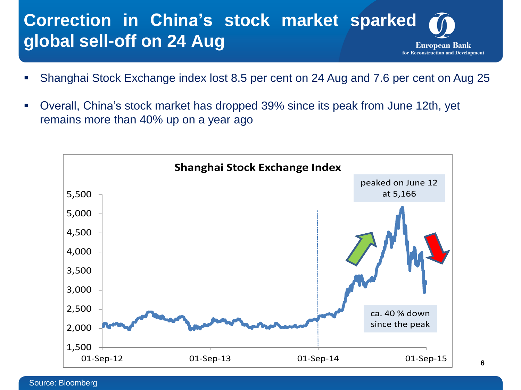#### **Correction in China's stock market sparked global sell-off on 24 Aug European Bank** for Reconstruction and Development

- Shanghai Stock Exchange index lost 8.5 per cent on 24 Aug and 7.6 per cent on Aug 25
- Overall, China's stock market has dropped 39% since its peak from June 12th, yet remains more than 40% up on a year ago

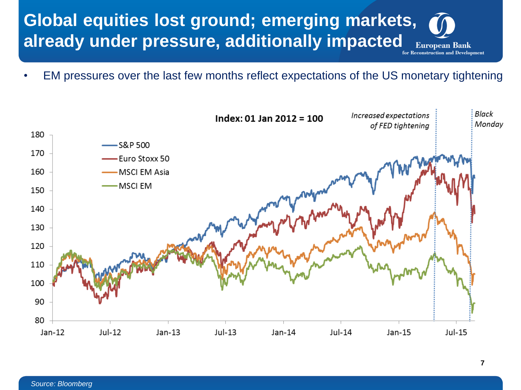

• EM pressures over the last few months reflect expectations of the US monetary tightening

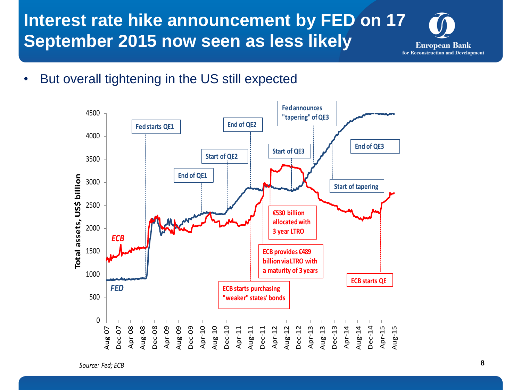**Interest rate hike announcement by FED on 17 September 2015 now seen as less likely**



• But overall tightening in the US still expected

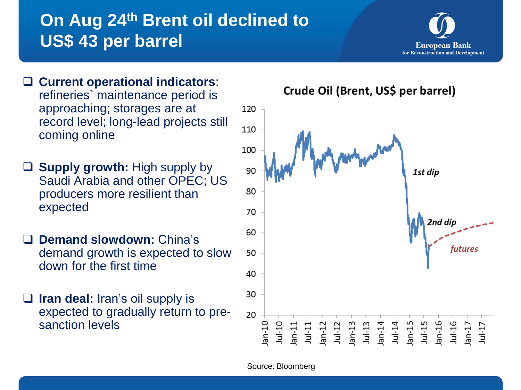# **On Aug 24th Brent oil declined to US\$ 43 per barrel**



- **Current operational indicators**: refineries` maintenance period is approaching; storages are at record level; long-lead projects still coming online
- **Supply growth:** High supply by Saudi Arabia and other OPEC; US producers more resilient than expected
- **Demand slowdown:** China's demand growth is expected to slow down for the first time
- **Iran deal:** Iran's oil supply is expected to gradually return to presanction levels

120 110 100 90 1st dip 80 70 2nd di 60 50 40 30 20 141-11<br>
141-12<br>
141-13<br>
141-14<br>
141-15<br>
141-16<br>
141-16<br>
141-16<br>
141-16<br>
141-16  $01 - n$  $Jul-10$  $an-11$  $an-17$  $1u-17$ 

Crude Oil (Brent, US\$ per barrel)

Source: Bloomberg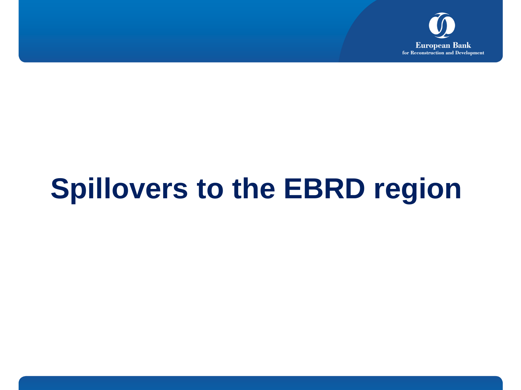

# **Spillovers to the EBRD region**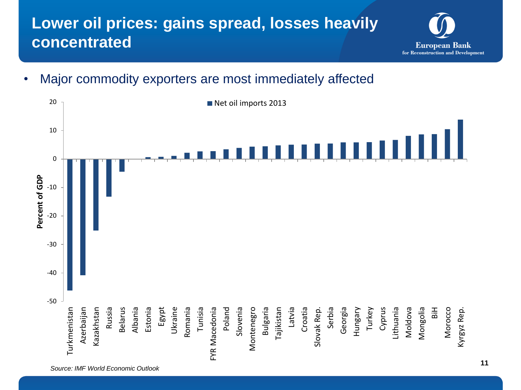### **Lower oil prices: gains spread, losses heavily concentrated**



• Major commodity exporters are most immediately affected

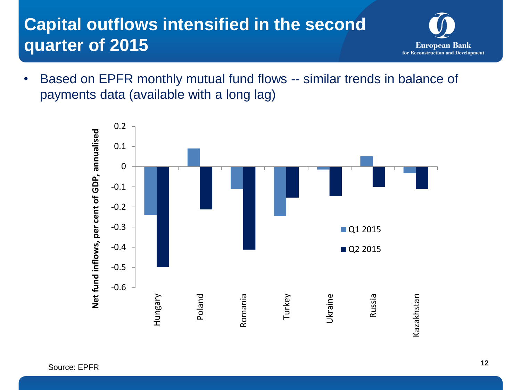# **Capital outflows intensified in the second quarter of 2015**



• Based on EPFR monthly mutual fund flows -- similar trends in balance of payments data (available with a long lag)

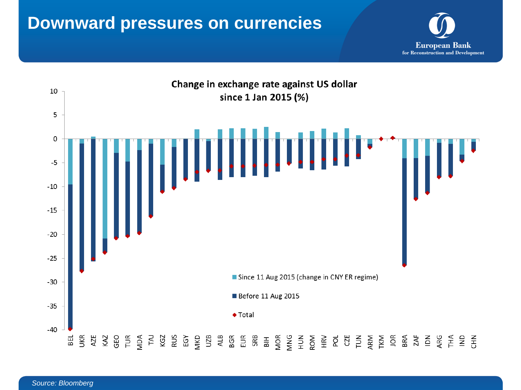### **Downward pressures on currencies**



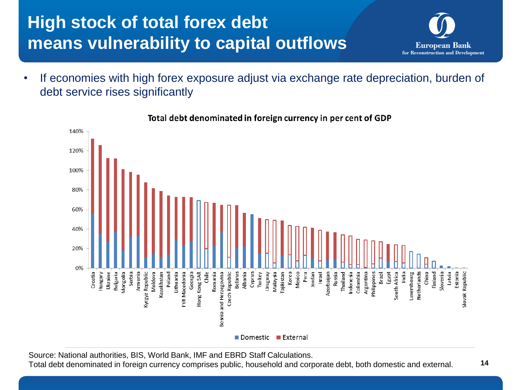# **High stock of total forex debt means vulnerability to capital outflows**

- **European Bank** for Reconstruction and Development
- If economies with high forex exposure adjust via exchange rate depreciation, burden of debt service rises significantly



Total debt denominated in foreign currency in per cent of GDP

Source: National authorities, BIS, World Bank, IMF and EBRD Staff Calculations.

Total debt denominated in foreign currency comprises public, household and corporate debt, both domestic and external.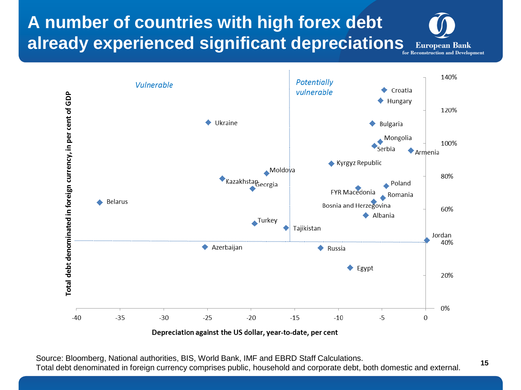**A number of countries with high forex debt already experienced significant depreciations** European Bank





Depreciation against the US dollar, year-to-date, per cent

Source: Bloomberg, National authorities, BIS, World Bank, IMF and EBRD Staff Calculations. Total debt denominated in foreign currency comprises public, household and corporate debt, both domestic and external.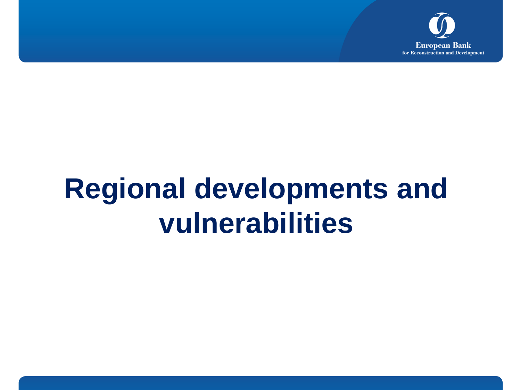

# **Regional developments and vulnerabilities**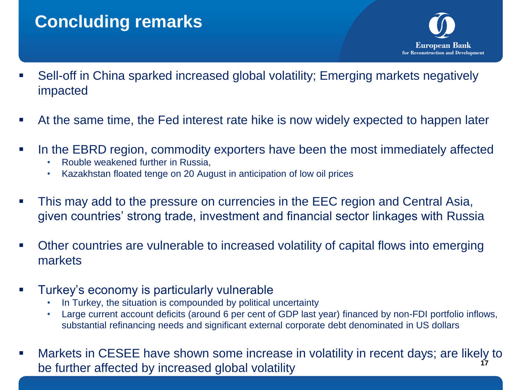## **Concluding remarks**



- Sell-off in China sparked increased global volatility; Emerging markets negatively impacted
- At the same time, the Fed interest rate hike is now widely expected to happen later
- In the EBRD region, commodity exporters have been the most immediately affected
	- Rouble weakened further in Russia,
	- Kazakhstan floated tenge on 20 August in anticipation of low oil prices
- This may add to the pressure on currencies in the EEC region and Central Asia, given countries' strong trade, investment and financial sector linkages with Russia
- Other countries are vulnerable to increased volatility of capital flows into emerging markets
- Turkey's economy is particularly vulnerable
	- In Turkey, the situation is compounded by political uncertainty
	- Large current account deficits (around 6 per cent of GDP last year) financed by non-FDI portfolio inflows, substantial refinancing needs and significant external corporate debt denominated in US dollars
- Markets in CESEE have shown some increase in volatility in recent days; are likely to be further affected by increased global volatility **<sup>17</sup>**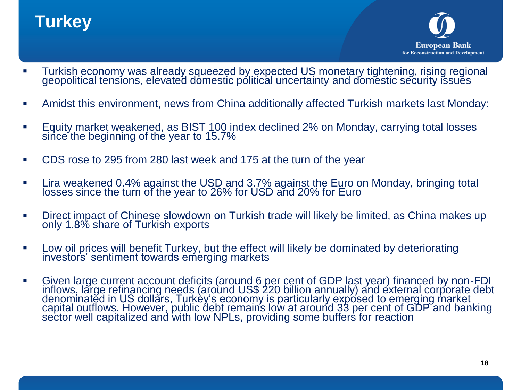## **Turkey**



- **Turkish economy was already squeezed by expected US monetary tightening, rising regional** geopolitical tensions, elevated domestic political uncertainty and domestic security issues
- Amidst this environment, news from China additionally affected Turkish markets last Monday:
- Equity market weakened, as BIST 100 index declined 2% on Monday, carrying total losses since the beginning of the year to 15.7%
- CDS rose to 295 from 280 last week and 175 at the turn of the year
- Lira weakened 0.4% against the USD and 3.7% against the Euro on Monday, bringing total losses since the turn of the year to 26% for USD and 20% for Euro
- Direct impact of Chinese slowdown on Turkish trade will likely be limited, as China makes up only 1.8% share of Turkish exports
- Low oil prices will benefit Turkey, but the effect will likely be dominated by deteriorating investors' sentiment towards emerging markets
- Given large current account deficits (around 6 per cent of GDP last year) financed by non-FDI inflows, large refinancing needs (around US\$ 220 billion annually) and external corporate debt denominatĕd in US dollars, Turkèy's economy is particularly expósed to emerging market capital outflows. However, public debt remains low at around 33 per cent of GDP and banking sector well capitalized and with low NPLs, providing some buffers for reaction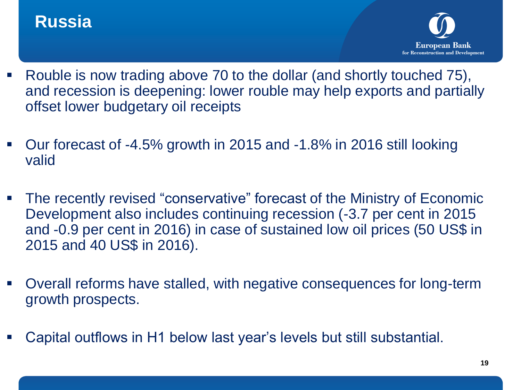### **Russia**



- Rouble is now trading above 70 to the dollar (and shortly touched 75), and recession is deepening: lower rouble may help exports and partially offset lower budgetary oil receipts
- Our forecast of -4.5% growth in 2015 and -1.8% in 2016 still looking valid
- The recently revised "conservative" forecast of the Ministry of Economic Development also includes continuing recession (-3.7 per cent in 2015 and -0.9 per cent in 2016) in case of sustained low oil prices (50 US\$ in 2015 and 40 US\$ in 2016).
- Overall reforms have stalled, with negative consequences for long-term growth prospects.
- Capital outflows in H1 below last year's levels but still substantial.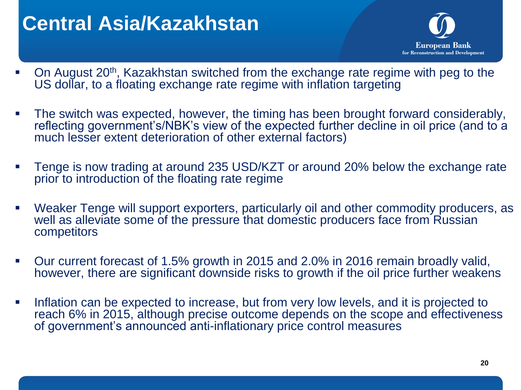# **Central Asia/Kazakhstan**



- On August 20<sup>th</sup>, Kazakhstan switched from the exchange rate regime with peg to the US dollar, to a floating exchange rate regime with inflation targeting
- The switch was expected, however, the timing has been brought forward considerably, reflecting government's/NBK's view of the expected further decline in oil price (and to a much lesser extent deterioration of other external factors)
- **Tenge is now trading at around 235 USD/KZT or around 20% below the exchange rate** prior to introduction of the floating rate regime
- Weaker Tenge will support exporters, particularly oil and other commodity producers, as well as alleviate some of the pressure that domestic producers face from Russian competitors
- Our current forecast of 1.5% growth in 2015 and 2.0% in 2016 remain broadly valid, however, there are significant downside risks to growth if the oil price further weakens
- Inflation can be expected to increase, but from very low levels, and it is projected to reach 6% in 2015, although precise outcome depends on the scope and effectiveness of government's announced anti-inflationary price control measures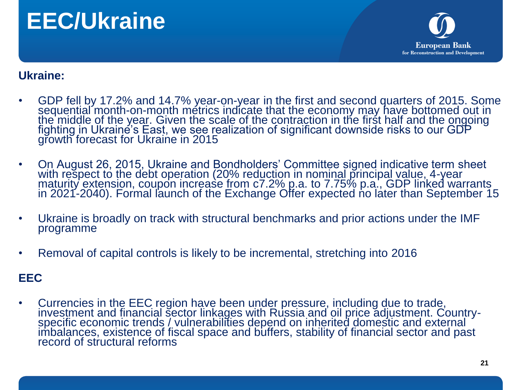# **EEC/Ukraine**



#### **Ukraine:**

- GDP fell by 17.2% and 14.7% year-on-year in the first and second quarters of 2015. Some sequential month-on-month metrics indicate that the economy may have bottomed out in the middle of the year. Given the scale of the contraction in the first half and the ongoing fighting in Ukraine's East, we see realization of significant downside risks to our GDP growth forecast for Ukraine in 2015
- On August 26, 2015, Ukraine and Bondholders' Committee signed indicative term sheet with respect to the debt operation (20% reduction in nominal principal value, 4-year maturity extension, coupon increase from c7.2% p.a. to 7.75% p.a., GDP linked warrants in 2021-2040). Formal launch of the Exchange Offer expected no later than September 15
- Ukraine is broadly on track with structural benchmarks and prior actions under the IMF programme
- Removal of capital controls is likely to be incremental, stretching into 2016

#### **EEC**

• Currencies in the EEC region have been under pressure, including due to trade, investment and financial sector linkages with Russia and oil price adjustment. Countryspecific economic trends / vulnerabilities depend on inherited domestic and external imbalances, existence of fiscal space and buffers, stability of financial sector and past record of structural reforms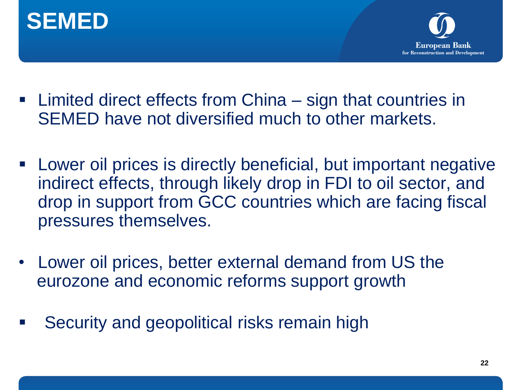



- Limited direct effects from China sign that countries in SEMED have not diversified much to other markets.
- Lower oil prices is directly beneficial, but important negative indirect effects, through likely drop in FDI to oil sector, and drop in support from GCC countries which are facing fiscal pressures themselves.
- Lower oil prices, better external demand from US the eurozone and economic reforms support growth
- Security and geopolitical risks remain high